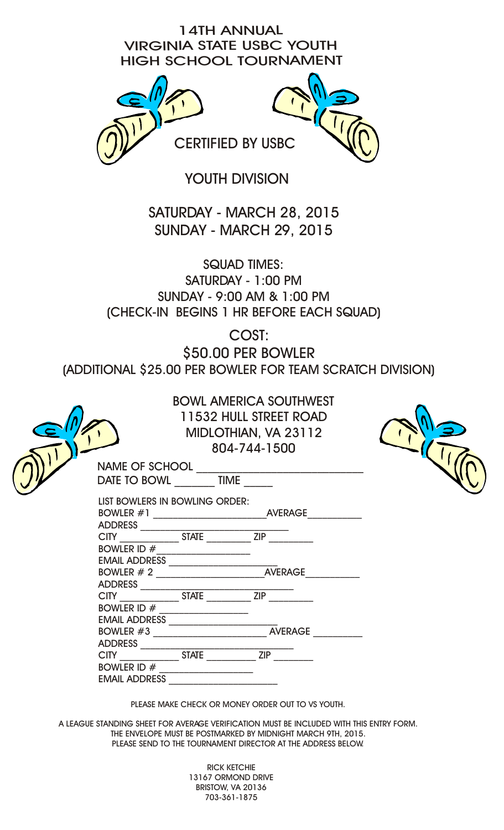## 14TH ANNUAL VIRGINIA STATE USBC YOUTH HIGH SCHOOL TOURNAMENT



YOUTH DIVISION

SATURDAY - MARCH 28, 2015 SUNDAY - MARCH 29, 2015

SQUAD TIMES: SATURDAY - 1:00 PM SUNDAY - 9:00 AM & 1:00 PM (CHECK-IN BEGINS 1 HR BEFORE EACH SQUAD)

COST:

\$50.00 PER BOWLER

(ADDITIONAL \$25.00 PER BOWLER FOR TEAM SCRATCH DIVISION)

|                                                     | <b>BOWL AMERICA SOUTHWEST</b><br>11532 HULL STREET ROAD<br>MIDLOTHIAN, VA 23112<br>804-744-1500 |  |
|-----------------------------------------------------|-------------------------------------------------------------------------------------------------|--|
|                                                     | NAME OF SCHOOL<br>DATE TO BOWL __________ TIME ______                                           |  |
| LIST BOWLERS IN BOWLING ORDER:                      |                                                                                                 |  |
| BOWLER ID $#$                                       |                                                                                                 |  |
|                                                     |                                                                                                 |  |
| BOWLER ID # __________________                      |                                                                                                 |  |
|                                                     | EMAIL ADDRESS<br>BOWLER #3                                                                      |  |
| CITY STATE<br>BOWLER ID $#$<br><b>EMAIL ADDRESS</b> | ZIP                                                                                             |  |
|                                                     |                                                                                                 |  |

PLEASE MAKE CHECK OR MONEY ORDER OUT TO VS YOUTH.

A LEAGUE STANDING SHEET FOR AVERAGE VERIFICATION MUST BE INCLUDED WITH THIS ENTRY FORM. THE ENVELOPE MUST BE POSTMARKED BY MIDNIGHT MARCH 9TH, 2015. PLEASE SEND TO THE TOURNAMENT DIRECTOR AT THE ADDRESS BELOW.

> RICK KETCHIE 13167 ORMOND DRIVE BRISTOW, VA 20136 703-361-1875